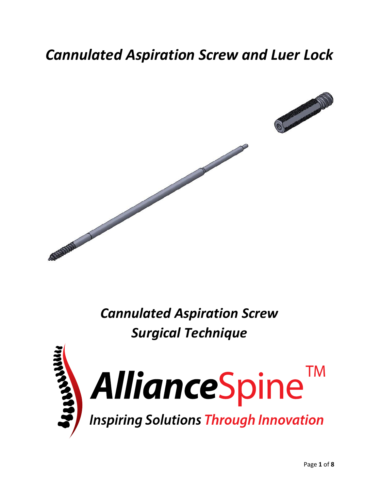## *Cannulated Aspiration Screw and Luer Lock*





*Cannulated Aspiration Screw Surgical Technique* 





**Inspiring Solutions Through Innovation**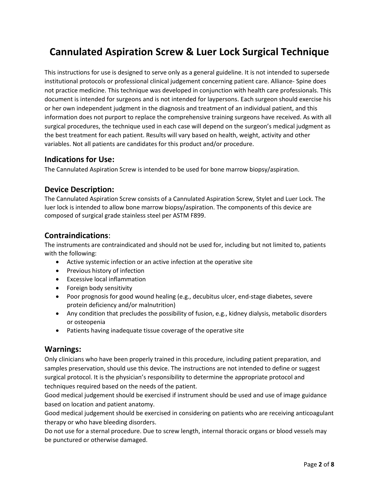### **Cannulated Aspiration Screw & Luer Lock Surgical Technique**

This instructions for use is designed to serve only as a general guideline. It is not intended to supersede institutional protocols or professional clinical judgement concerning patient care. Alliance- Spine does not practice medicine. This technique was developed in conjunction with health care professionals. This document is intended for surgeons and is not intended for laypersons. Each surgeon should exercise his or her own independent judgment in the diagnosis and treatment of an individual patient, and this information does not purport to replace the comprehensive training surgeons have received. As with all surgical procedures, the technique used in each case will depend on the surgeon's medical judgment as the best treatment for each patient. Results will vary based on health, weight, activity and other variables. Not all patients are candidates for this product and/or procedure.

#### **Indications for Use:**

The Cannulated Aspiration Screw is intended to be used for bone marrow biopsy/aspiration.

#### **Device Description:**

The Cannulated Aspiration Screw consists of a Cannulated Aspiration Screw, Stylet and Luer Lock. The luer lock is intended to allow bone marrow biopsy/aspiration. The components of this device are composed of surgical grade stainless steel per ASTM F899.

#### **Contraindications**:

The instruments are contraindicated and should not be used for, including but not limited to, patients with the following:

- Active systemic infection or an active infection at the operative site
- Previous history of infection
- Excessive local inflammation
- Foreign body sensitivity
- Poor prognosis for good wound healing (e.g., decubitus ulcer, end-stage diabetes, severe protein deficiency and/or malnutrition)
- Any condition that precludes the possibility of fusion, e.g., kidney dialysis, metabolic disorders or osteopenia
- Patients having inadequate tissue coverage of the operative site

#### **Warnings:**

Only clinicians who have been properly trained in this procedure, including patient preparation, and samples preservation, should use this device. The instructions are not intended to define or suggest surgical protocol. It is the physician's responsibility to determine the appropriate protocol and techniques required based on the needs of the patient.

Good medical judgement should be exercised if instrument should be used and use of image guidance based on location and patient anatomy.

Good medical judgement should be exercised in considering on patients who are receiving anticoagulant therapy or who have bleeding disorders.

Do not use for a sternal procedure. Due to screw length, internal thoracic organs or blood vessels may be punctured or otherwise damaged.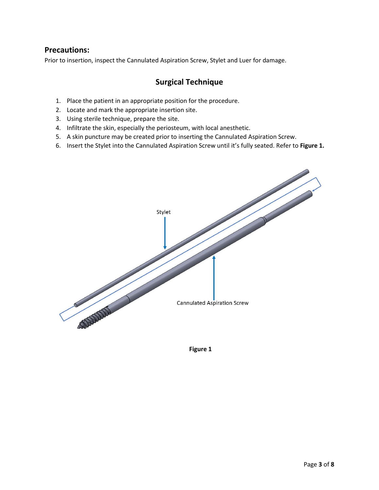#### **Precautions:**

Prior to insertion, inspect the Cannulated Aspiration Screw, Stylet and Luer for damage.

### **Surgical Technique**

- 1. Place the patient in an appropriate position for the procedure.
- 2. Locate and mark the appropriate insertion site.
- 3. Using sterile technique, prepare the site.
- 4. Infiltrate the skin, especially the periosteum, with local anesthetic.
- 5. A skin puncture may be created prior to inserting the Cannulated Aspiration Screw.
- 6. Insert the Stylet into the Cannulated Aspiration Screw until it's fully seated. Refer to **Figure 1.**



**Figure 1**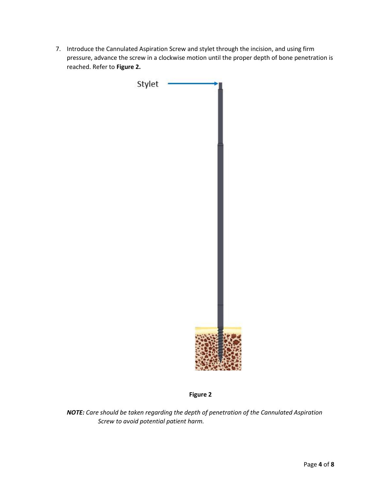7. Introduce the Cannulated Aspiration Screw and stylet through the incision, and using firm pressure, advance the screw in a clockwise motion until the proper depth of bone penetration is reached. Refer to **Figure 2.**



**Figure 2**

*NOTE: Care should be taken regarding the depth of penetration of the Cannulated Aspiration Screw to avoid potential patient harm.*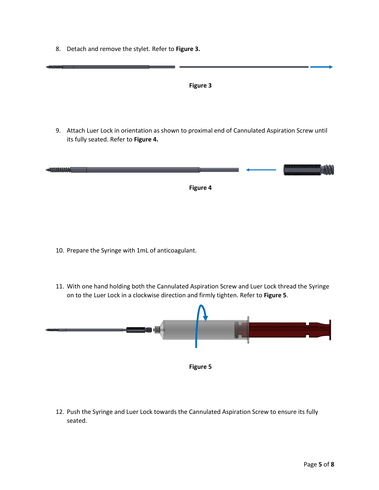8. Detach and remove the stylet. Refer to **Figure 3.**



- 10. Prepare the Syringe with 1mL of anticoagulant.
- 11. With one hand holding both the Cannulated Aspiration Screw and Luer Lock thread the Syringe on to the Luer Lock in a clockwise direction and firmly tighten. Refer to **Figure 5**.



12. Push the Syringe and Luer Lock towards the Cannulated Aspiration Screw to ensure its fully seated.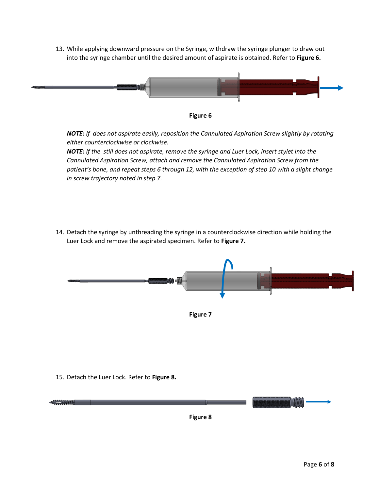13. While applying downward pressure on the Syringe, withdraw the syringe plunger to draw out into the syringe chamber until the desired amount of aspirate is obtained. Refer to **Figure 6.**





*NOTE: If does not aspirate easily, reposition the Cannulated Aspiration Screw slightly by rotating either counterclockwise or clockwise.* 

*NOTE: If the still does not aspirate, remove the syringe and Luer Lock, insert stylet into the Cannulated Aspiration Screw, attach and remove the Cannulated Aspiration Screw from the patient's bone, and repeat steps 6 through 12, with the exception of step 10 with a slight change in screw trajectory noted in step 7.*

14. Detach the syringe by unthreading the syringe in a counterclockwise direction while holding the Luer Lock and remove the aspirated specimen. Refer to **Figure 7.**



15. Detach the Luer Lock. Refer to **Figure 8.**



**Figure 8**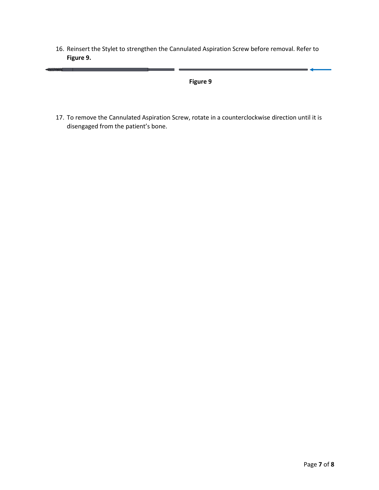16. Reinsert the Stylet to strengthen the Cannulated Aspiration Screw before removal. Refer to **Figure 9.**

-AMMMMM

#### **Figure 9**

17. To remove the Cannulated Aspiration Screw, rotate in a counterclockwise direction until it is disengaged from the patient's bone.